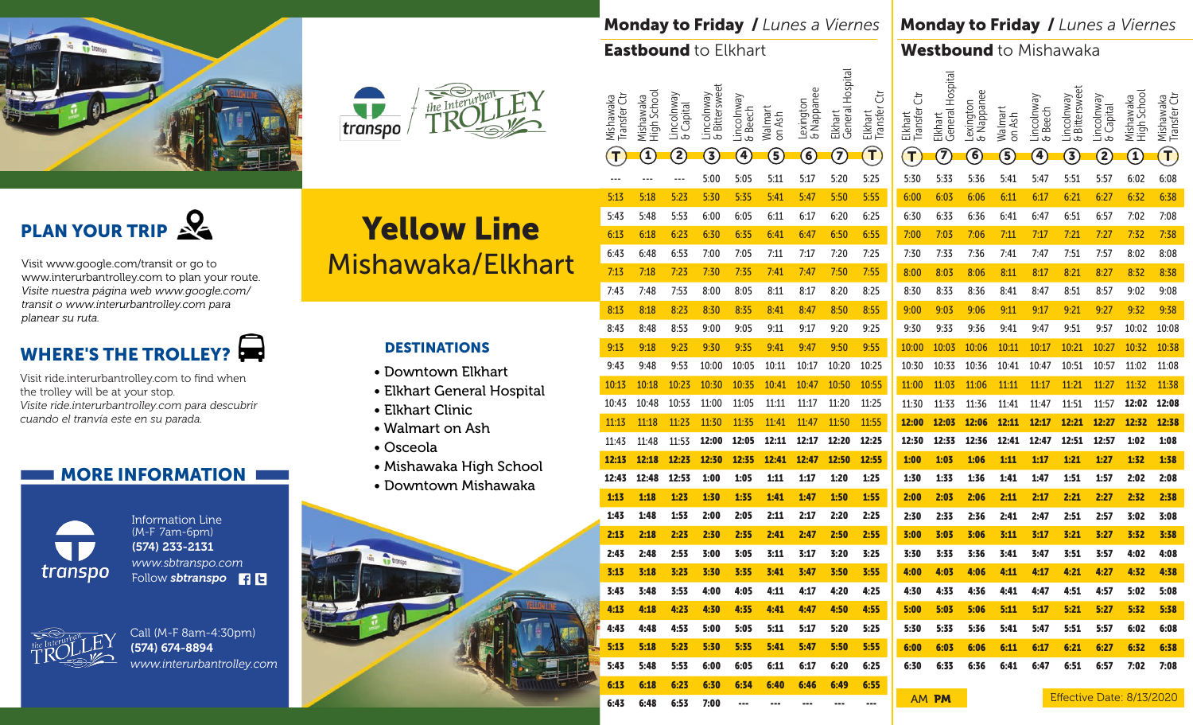



#### Monday to Friday / *Lunes a Viernes*

#### Eastbound to Elkhart

Monday to Friday / *Lunes a Viernes*

#### Westbound to Mishawaka

PLAN YOUR TRIP

Visit www.google.com/transit or go to www.interurbantrolley.com to plan your route. *Visite nuestra página web www.google.com/ transit o www.interurbantrolley.com para planear su ruta.* 

### WHERE'S THE TROLLEY?

Visit ride.interurbantrolley.com to find when the trolley will be at your stop. *Visite ride.interurbantrolley.com para descubrir cuando el tranvía este en su parada.* 

#### **I MORE INFORMATION I**



Information Line (M-F 7am-6pm) (574) 233-2131 *www.sbtranspo.com* Follow **sbtranspo** 



Call (M-F 8am-4:30pm) (574) 674-8894 *www.interurbantrolley.com*

# Yellow Line Mishawaka/Elkhart

#### DESTINATIONS

- Downtown Elkhart
- Elkhart General Hospital
- Elkhart Clinic
- Walmart on Ash
- Osceola
- Mishawaka High School
- Downtown Mishawaka



| <b>Lastbound</b> to<br><b>Elkhart</b> |                           |                          |                                                                                                                                                                                                                                                                                                                                                                                                               |                             |                       |                        |                                    |                             | <b>Westbound</b> to<br>Mishawaka |                         |                             |                                    |                   |                       |                             |                           |                                                         |                           |
|---------------------------------------|---------------------------|--------------------------|---------------------------------------------------------------------------------------------------------------------------------------------------------------------------------------------------------------------------------------------------------------------------------------------------------------------------------------------------------------------------------------------------------------|-----------------------------|-----------------------|------------------------|------------------------------------|-----------------------------|----------------------------------|-------------------------|-----------------------------|------------------------------------|-------------------|-----------------------|-----------------------------|---------------------------|---------------------------------------------------------|---------------------------|
|                                       | Transfer Ctr<br>Mishawaka | High School<br>Mishawaka | Lincolnway<br>& Capital                                                                                                                                                                                                                                                                                                                                                                                       | & Bittersweet<br>Lincolnway | Lincolnway<br>& Beech | Walmart<br>on Ash      | <b>&amp; Nappanee</b><br>Lexington | General Hospital<br>Elkhart | ざ<br>Elkhart<br>Transfer (       | Elkhart<br>Transfer Ctr | General Hospital<br>Elkhart | <b>&amp; Nappanee</b><br>Lexington | Walmart<br>on Ash | Lincolnway<br>& Beech | & Bittersweet<br>Lincolnway | Lincolnway<br>& Capital   | High School<br>Mishawaka                                | Mishawaka<br>Transfer Ctr |
|                                       | $\mathbf{T}$              | $\widehat{\mathbf{J}}$   | $\mathbf{2}% ^{2}\mathbf{1}_{B(1)}=\mathbf{1}_{B(1)}=\mathbf{1}_{B(1)}=\mathbf{1}_{B(1)}=\mathbf{1}_{B(1)}=\mathbf{1}_{B(1)}=\mathbf{1}_{B(1)}=\mathbf{1}_{B(1)}=\mathbf{1}_{B(1)}=\mathbf{1}_{B(1)}=\mathbf{1}_{B(1)}=\mathbf{1}_{B(1)}=\mathbf{1}_{B(1)}=\mathbf{1}_{B(1)}=\mathbf{1}_{B(1)}=\mathbf{1}_{B(1)}=\mathbf{1}_{B(1)}=\mathbf{1}_{B(1)}=\mathbf{1}_{B(1)}=\mathbf{1}_{B(1)}=\mathbf{1}_{B(1)}=\$ | $\mathbf{3}$                | $\mathbf{A}$          | $\mathbf{\widehat{5}}$ | $\widehat{\mathbf{6}}$             | $\widehat{\mathbf{Z}}$      | $\mathbf{T}$                     | $\mathsf{T}$            | $\mathcal{T}$               | $\mathbf{6}$                       | $\mathbf{5}$      | $\mathbf{A}$          | $\mathbf{3}$                | <u>S</u>                  | $\mathbf{T}% _{M_{1},M_{2}}^{\alpha,\beta}(\mathbf{r})$ | $\mathbf T$               |
|                                       | ---                       | ---                      | ---                                                                                                                                                                                                                                                                                                                                                                                                           | 5:00                        | 5:05                  | 5:11                   | 5:17                               | 5:20                        | 5:25                             | 5:30                    | 5:33                        | 5:36                               | 5:41              | 5:47                  | 5:51                        | 5:57                      | 6:02                                                    | 6:08                      |
|                                       | 5:13                      | 5:18                     | 5:23                                                                                                                                                                                                                                                                                                                                                                                                          | 5:30                        | 5:35                  | 5:41                   | 5:47                               | 5:50                        | 5:55                             | 6:00                    | 6:03                        | 6:06                               | 6:11              | 6:17                  | 6:21                        | 6:27                      | 6:32                                                    | 6:38                      |
|                                       | 5:43                      | 5:48                     | 5:53                                                                                                                                                                                                                                                                                                                                                                                                          | 6:00                        | 6:05                  | 6:11                   | 6:17                               | 6:20                        | 6:25                             | 6:30                    | 6:33                        | 6:36                               | 6:41              | 6:47                  | 6:51                        | 6:57                      | 7:02                                                    | 7:08                      |
|                                       | 6:13                      | 6:18                     | 6:23                                                                                                                                                                                                                                                                                                                                                                                                          | 6:30                        | 6:35                  | 6:41                   | 6:47                               | 6:50                        | 6:55                             | 7:00                    | 7:03                        | 7:06                               | 7:11              | 7:17                  | 7:21                        | 7:27                      | 7:32                                                    | 7:38                      |
|                                       | 6:43                      | 6:48                     | 6:53                                                                                                                                                                                                                                                                                                                                                                                                          | 7:00                        | 7:05                  | 7:11                   | 7:17                               | 7:20                        | 7:25                             | 7:30                    | 7:33                        | 7:36                               | 7:41              | 7:47                  | 7:51                        | 7:57                      | 8:02                                                    | 8:08                      |
|                                       | 7:13                      | 7:18                     | 7:23                                                                                                                                                                                                                                                                                                                                                                                                          | 7:30                        | 7:35                  | 7:41                   | 7:47                               | 7:50                        | 7:55                             | 8:00                    | 8:03                        | 8:06                               | 8:11              | 8:17                  | 8:21                        | 8:27                      | 8:32                                                    | 8:38                      |
|                                       | 7:43                      | 7:48                     | 7:53                                                                                                                                                                                                                                                                                                                                                                                                          | 8:00                        | 8:05                  | 8:11                   | 8:17                               | 8:20                        | 8:25                             | 8:30                    | 8:33                        | 8:36                               | 8:41              | 8:47                  | 8:51                        | 8:57                      | 9:02                                                    | 9:08                      |
|                                       | 8:13                      | 8:18                     | 8:23                                                                                                                                                                                                                                                                                                                                                                                                          | 8:30                        | 8:35                  | 8:41                   | 8:47                               | 8:50                        | 8:55                             | 9:00                    | 9:03                        | 9:06                               | 9:11              | 9:17                  | 9:21                        | 9:27                      | 9:32                                                    | 9:38                      |
|                                       | 8:43                      | 8:48                     | 8:53                                                                                                                                                                                                                                                                                                                                                                                                          | 9:00                        | 9:05                  | 9:11                   | 9:17                               | 9:20                        | 9:25                             | 9:30                    | 9:33                        | 9:36                               | 9:41              | 9:47                  | 9:51                        | 9:57                      | 10:02                                                   | 10:08                     |
|                                       | 9:13                      | 9:18                     | 9:23                                                                                                                                                                                                                                                                                                                                                                                                          | 9:30                        | 9:35                  | 9:41                   | 9:47                               | 9:50                        | 9:55                             | 10:00                   | 10:03                       | 10:06                              | 10:11             | 10:17                 | 10:21                       | 10:27                     | 10:32                                                   | 10:38                     |
|                                       | 9:43                      | 9:48                     | 9:53                                                                                                                                                                                                                                                                                                                                                                                                          | 10:00                       | 10:05                 | 10:11                  | 10:17                              | 10:20                       | 10:25                            | 10:30                   | 10:33                       | 10:36                              | 10:41             | 10:47                 | 10:51                       | 10:57                     | 11:02                                                   | 11:08                     |
|                                       | 10:13                     | 10:18                    | 10:23                                                                                                                                                                                                                                                                                                                                                                                                         | 10:30                       | 10:35                 | 10:41                  | 10:47                              | 10:50                       | 10:55                            | 11:00                   | 11:03                       | 11:06                              | 11:11             | 11:17                 | 11:21                       | 11:27                     | 11:32                                                   | 11:38                     |
|                                       | 10:43                     | 10:48                    | 10:53                                                                                                                                                                                                                                                                                                                                                                                                         | 11:00                       | 11:05                 | 11:11                  | 11:17                              | 11:20                       | 11:25                            | 11:30                   | 11:33                       | 11:36                              | 11:41             | 11:47                 | 11:51                       | 11:57                     | 12:02                                                   | 12:08                     |
|                                       | 11:13                     | 11:18                    | 11:23                                                                                                                                                                                                                                                                                                                                                                                                         | 11:30                       | 11:35                 | 11:41                  | 11:47                              | 11:50                       | 11:55                            | 12:00                   | 12:03                       | 12:06                              | 12:11             | 12:17                 | 12:21                       | 12:27                     | 12:32                                                   | 12:38                     |
|                                       | 11:43                     | 11:48                    | 11:53                                                                                                                                                                                                                                                                                                                                                                                                         | 12:00                       | 12:05                 | 12:11                  | 12:17                              | 12:20                       | 12:25                            | 12:30                   | 12:33                       | 12:36                              | 12:41             | 12:47                 | 12:51                       | 12:57                     | 1:02                                                    | 1:08                      |
|                                       | 12:13                     | 12:18                    | 12:23                                                                                                                                                                                                                                                                                                                                                                                                         | 12:30                       | 12:35                 | 12:41                  | 12:47                              | 12:50                       | 12:55                            | 1:00                    | 1:03                        | 1:06                               | 1:11              | 1:17                  | 1:21                        | 1:27                      | 1:32                                                    | 1:38                      |
|                                       | 12:43                     | 12:48                    | 12:53                                                                                                                                                                                                                                                                                                                                                                                                         | 1:00                        | 1:05                  | 1:11                   | 1:17                               | 1:20                        | 1:25                             | 1:30                    | 1:33                        | 1:36                               | 1:41              | 1:47                  | 1:51                        | 1:57                      | 2:02                                                    | 2:08                      |
|                                       | 1:13                      | 1:18                     | 1:23                                                                                                                                                                                                                                                                                                                                                                                                          | 1:30                        | 1:35                  | 1:41                   | 1:47                               | 1:50                        | 1:55                             | 2:00                    | 2:03                        | 2:06                               | 2:11              | 2:17                  | 2:21                        | 2:27                      | 2:32                                                    | 2:38                      |
|                                       | 1:43                      | 1:48                     | 1:53                                                                                                                                                                                                                                                                                                                                                                                                          | 2:00                        | 2:05                  | 2:11                   | 2:17                               | 2:20                        | 2:25                             | 2:30                    | 2:33                        | 2:36                               | 2:41              | 2:47                  | 2:51                        | 2:57                      | 3:02                                                    | 3:08                      |
|                                       | 2:13                      | 2:18                     | 2:23                                                                                                                                                                                                                                                                                                                                                                                                          | 2:30                        | 2:35                  | 2:41                   | 2:47                               | 2:50                        | 2:55                             | 3:00                    | 3:03                        | 3:06                               | 3:11              | 3:17                  | 3:21                        | 3:27                      | 3:32                                                    | 3:38                      |
|                                       | 2:43                      | 2:48                     | 2:53                                                                                                                                                                                                                                                                                                                                                                                                          | 3:00                        | 3:05                  | 3:11                   | 3:17                               | 3:20                        | 3:25                             | 3:30                    | 3:33                        | 3:36                               | 3:41              | 3:47                  | 3:51                        | 3:57                      | 4:02                                                    | 4:08                      |
|                                       | 3:13                      | 3:18                     | 3:23                                                                                                                                                                                                                                                                                                                                                                                                          | 3:30                        | 3:35                  | 3:41                   | 3:47                               | 3:50                        | 3:55                             | 4:00                    | 4:03                        | 4:06                               | 4:11              | 4:17                  | 4:21                        | 4:27                      | 4:32                                                    | 4:38                      |
|                                       | 3:43                      | 3:48                     | 3:53                                                                                                                                                                                                                                                                                                                                                                                                          | 4:00                        | 4:05                  | 4:11                   | 4:17                               | 4:20                        | 4:25<br>4:55                     | 4:30                    | 4:33                        | 4:36                               | 4:41              | 4:47                  | 4:51                        | 4:57                      | 5:02                                                    | 5:08                      |
|                                       | 4:13                      | 4:18                     | 4:23                                                                                                                                                                                                                                                                                                                                                                                                          | 4:30                        | 4:35                  | 4:41                   | 4:47                               | 4:50                        |                                  | 5:00                    | 5:03                        | 5:06                               | 5:11              | 5:17                  | 5:21                        | 5:27                      | 5:32                                                    | 5:38                      |
|                                       | 4:43                      | 4:48                     | 4:53                                                                                                                                                                                                                                                                                                                                                                                                          | 5:00                        | 5:05                  | 5:11                   | 5:17                               | 5:20                        | 5:25                             | 5:30                    | 5:33                        | 5:36                               | 5:41              | 5:47                  | 5:51                        | 5:57                      | 6:02                                                    | 6:08                      |
|                                       | 5:13                      | 5:18                     | 5:23                                                                                                                                                                                                                                                                                                                                                                                                          | 5:30                        | 5:35                  | 5:41                   | 5:47                               | 5:50                        | 5:55                             | 6:00                    | 6:03                        | 6:06                               | 6:11              | 6:17                  | 6:21                        | 6:27                      | 6:32                                                    | 6:38                      |
|                                       | 5:43<br>6:13              | 5:48<br>6:18             | 5:53<br>6:23                                                                                                                                                                                                                                                                                                                                                                                                  | 6:00<br>6:30                | 6:05<br>6:34          | 6:11<br>6:40           | 6:17<br>6:46                       | 6:20<br>6:49                | 6:25<br>6:55                     | 6:30                    | 6:33                        | 6:36                               | 6:41              | 6:47                  | 6:51                        | 6:57                      | 7:02                                                    | 7:08                      |
|                                       | 6:43                      | 6:48                     | 6:53                                                                                                                                                                                                                                                                                                                                                                                                          | 7:00                        | ---                   | ---                    | ---                                | ---                         | ---                              |                         | AM PM                       |                                    |                   |                       |                             | Effective Date: 8/13/2020 |                                                         |                           |
|                                       |                           |                          |                                                                                                                                                                                                                                                                                                                                                                                                               |                             |                       |                        |                                    |                             |                                  |                         |                             |                                    |                   |                       |                             |                           |                                                         |                           |